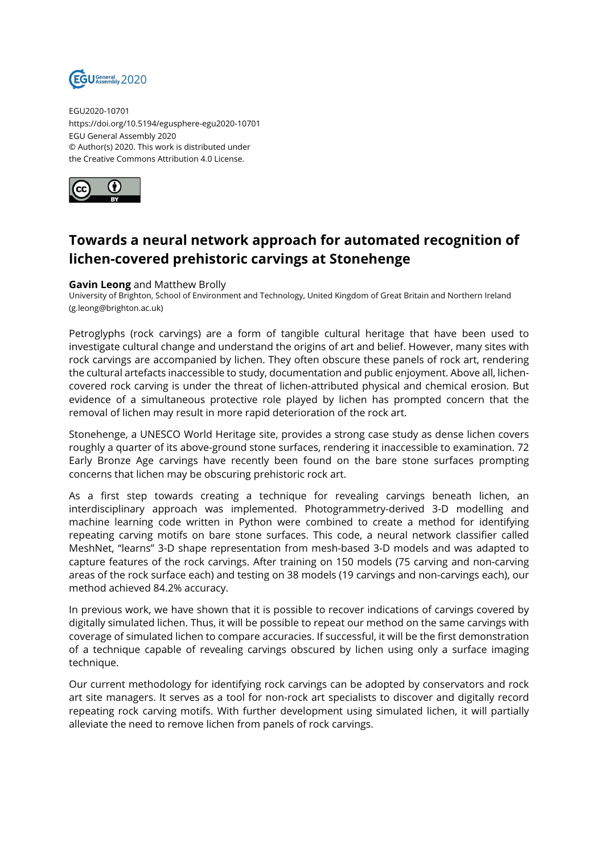

EGU2020-10701 https://doi.org/10.5194/egusphere-egu2020-10701 EGU General Assembly 2020 © Author(s) 2020. This work is distributed under the Creative Commons Attribution 4.0 License.



## **Towards a neural network approach for automated recognition of lichen-covered prehistoric carvings at Stonehenge**

## **Gavin Leong** and Matthew Brolly

University of Brighton, School of Environment and Technology, United Kingdom of Great Britain and Northern Ireland (g.leong@brighton.ac.uk)

Petroglyphs (rock carvings) are a form of tangible cultural heritage that have been used to investigate cultural change and understand the origins of art and belief. However, many sites with rock carvings are accompanied by lichen. They often obscure these panels of rock art, rendering the cultural artefacts inaccessible to study, documentation and public enjoyment. Above all, lichencovered rock carving is under the threat of lichen-attributed physical and chemical erosion. But evidence of a simultaneous protective role played by lichen has prompted concern that the removal of lichen may result in more rapid deterioration of the rock art.

Stonehenge, a UNESCO World Heritage site, provides a strong case study as dense lichen covers roughly a quarter of its above-ground stone surfaces, rendering it inaccessible to examination. 72 Early Bronze Age carvings have recently been found on the bare stone surfaces prompting concerns that lichen may be obscuring prehistoric rock art.

As a first step towards creating a technique for revealing carvings beneath lichen, an interdisciplinary approach was implemented. Photogrammetry-derived 3-D modelling and machine learning code written in Python were combined to create a method for identifying repeating carving motifs on bare stone surfaces. This code, a neural network classifier called MeshNet, "learns" 3-D shape representation from mesh-based 3-D models and was adapted to capture features of the rock carvings. After training on 150 models (75 carving and non-carving areas of the rock surface each) and testing on 38 models (19 carvings and non-carvings each), our method achieved 84.2% accuracy.

In previous work, we have shown that it is possible to recover indications of carvings covered by digitally simulated lichen. Thus, it will be possible to repeat our method on the same carvings with coverage of simulated lichen to compare accuracies. If successful, it will be the first demonstration of a technique capable of revealing carvings obscured by lichen using only a surface imaging technique.

Our current methodology for identifying rock carvings can be adopted by conservators and rock art site managers. It serves as a tool for non-rock art specialists to discover and digitally record repeating rock carving motifs. With further development using simulated lichen, it will partially alleviate the need to remove lichen from panels of rock carvings.